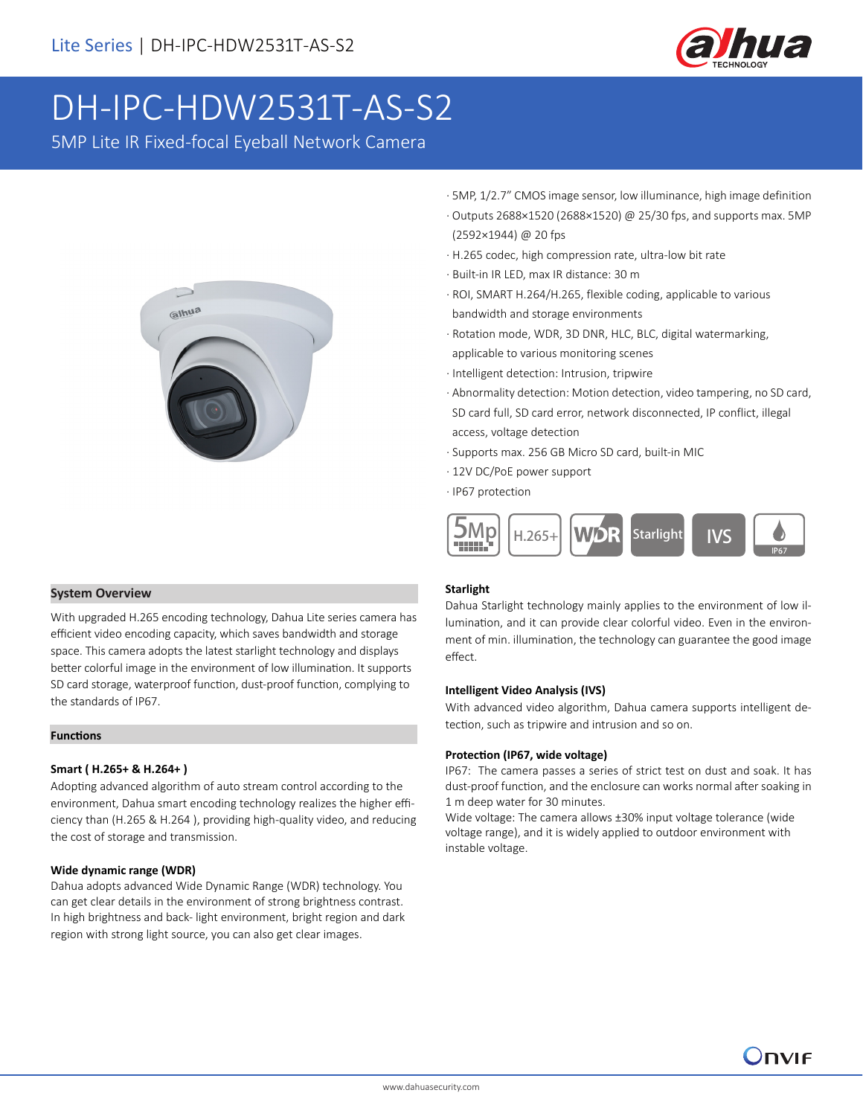

# DH-IPC-HDW2531T-AS-S2

5MP Lite IR Fixed-focal Eyeball Network Camera



- · 5MP, 1/2.7" CMOS image sensor, low illuminance, high image definition
- · Outputs 2688×1520 (2688×1520) @ 25/30 fps, and supports max. 5MP (2592×1944) @ 20 fps
- · H.265 codec, high compression rate, ultra-low bit rate
- · Built-in IR LED, max IR distance: 30 m
- · ROI, SMART H.264/H.265, flexible coding, applicable to various bandwidth and storage environments
- · Rotation mode, WDR, 3D DNR, HLC, BLC, digital watermarking, applicable to various monitoring scenes
- · Intelligent detection: Intrusion, tripwire
- · Abnormality detection: Motion detection, video tampering, no SD card, SD card full, SD card error, network disconnected, IP conflict, illegal access, voltage detection
- · Supports max. 256 GB Micro SD card, built-in MIC
- · 12V DC/PoE power support
- · IP67 protection



# **System Overview**

With upgraded H.265 encoding technology, Dahua Lite series camera has efficient video encoding capacity, which saves bandwidth and storage space. This camera adopts the latest starlight technology and displays better colorful image in the environment of low illumination. It supports SD card storage, waterproof function, dust-proof function, complying to the standards of IP67.

# **Functions**

# **Smart ( H.265+ & H.264+ )**

Adopting advanced algorithm of auto stream control according to the environment, Dahua smart encoding technology realizes the higher efficiency than (H.265 & H.264 ), providing high-quality video, and reducing the cost of storage and transmission.

# **Wide dynamic range (WDR)**

Dahua adopts advanced Wide Dynamic Range (WDR) technology. You can get clear details in the environment of strong brightness contrast. In high brightness and back- light environment, bright region and dark region with strong light source, you can also get clear images.

# **Starlight**

Dahua Starlight technology mainly applies to the environment of low illumination, and it can provide clear colorful video. Even in the environment of min. illumination, the technology can guarantee the good image effect.

# **Intelligent Video Analysis (IVS)**

With advanced video algorithm, Dahua camera supports intelligent detection, such as tripwire and intrusion and so on.

#### **Protection (IP67, wide voltage)**

IP67: The camera passes a series of strict test on dust and soak. It has dust-proof function, and the enclosure can works normal after soaking in 1 m deep water for 30 minutes.

Wide voltage: The camera allows ±30% input voltage tolerance (wide voltage range), and it is widely applied to outdoor environment with instable voltage.

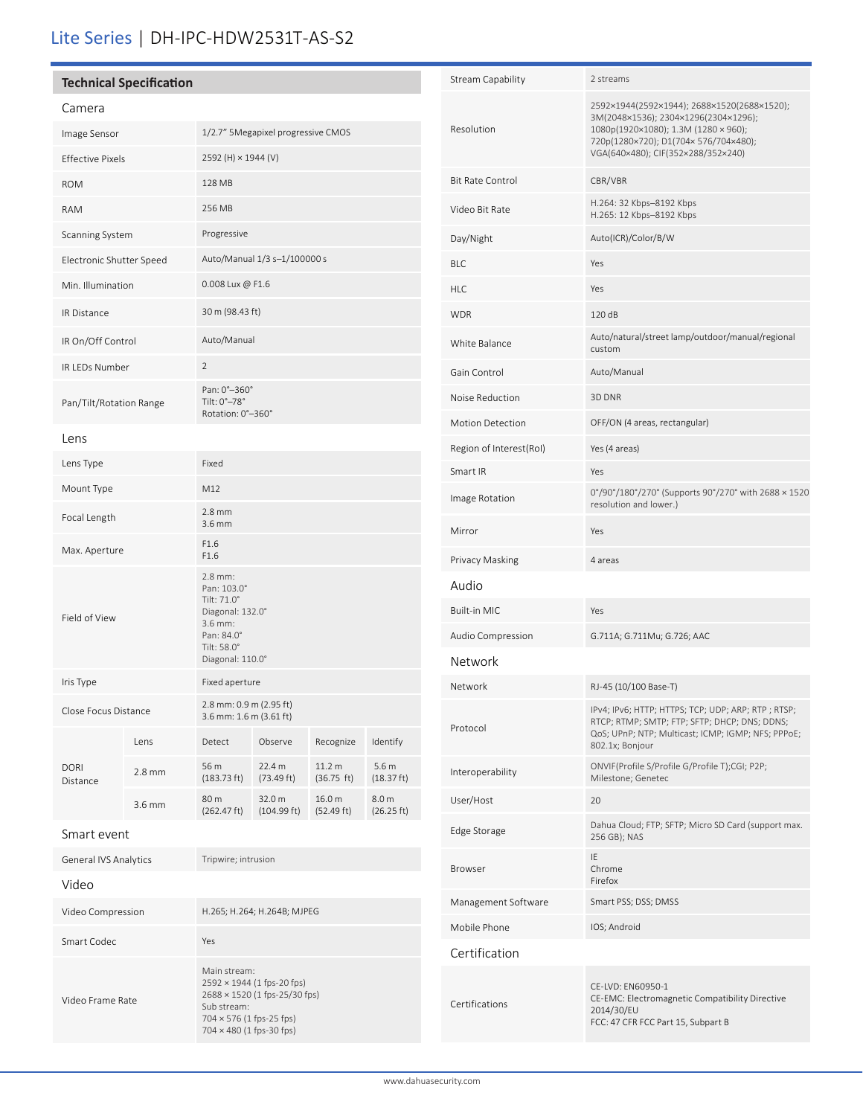# Lite Series | DH-IPC-HDW2531T-AS-S2

# **Technical Specification**

| . . |  |  |  |  |  |  |  |
|-----|--|--|--|--|--|--|--|

| Camera                   |        |                                                                                                                       |                       |                      |                                |  |  |
|--------------------------|--------|-----------------------------------------------------------------------------------------------------------------------|-----------------------|----------------------|--------------------------------|--|--|
| Image Sensor             |        | 1/2.7" 5Megapixel progressive CMOS                                                                                    |                       |                      |                                |  |  |
| <b>Effective Pixels</b>  |        | 2592 (H) × 1944 (V)                                                                                                   |                       |                      |                                |  |  |
| <b>ROM</b>               |        | 128 MB                                                                                                                |                       |                      |                                |  |  |
| <b>RAM</b>               |        | 256 MB                                                                                                                |                       |                      |                                |  |  |
| Scanning System          |        | Progressive                                                                                                           |                       |                      |                                |  |  |
| Electronic Shutter Speed |        | Auto/Manual 1/3 s-1/100000 s                                                                                          |                       |                      |                                |  |  |
| Min. Illumination        |        | 0.008 Lux @ F1.6                                                                                                      |                       |                      |                                |  |  |
| <b>IR Distance</b>       |        | 30 m (98.43 ft)                                                                                                       |                       |                      |                                |  |  |
| IR On/Off Control        |        | Auto/Manual                                                                                                           |                       |                      |                                |  |  |
| <b>IR LEDs Number</b>    |        | $\overline{2}$                                                                                                        |                       |                      |                                |  |  |
| Pan/Tilt/Rotation Range  |        | Pan: 0°-360°<br>Tilt: 0°-78°<br>Rotation: 0°-360°                                                                     |                       |                      |                                |  |  |
| Lens                     |        |                                                                                                                       |                       |                      |                                |  |  |
| Lens Type                |        | Fixed                                                                                                                 |                       |                      |                                |  |  |
| Mount Type               |        | M12                                                                                                                   |                       |                      |                                |  |  |
| Focal Length             |        | $2.8$ mm<br>3.6 mm                                                                                                    |                       |                      |                                |  |  |
| Max. Aperture            |        | F1.6<br>F1.6                                                                                                          |                       |                      |                                |  |  |
| Field of View            |        | 2.8 mm:<br>Pan: 103.0°<br>Tilt: 71.0°<br>Diagonal: 132.0°<br>3.6 mm:<br>Pan: 84.0°<br>Tilt: 58.0°<br>Diagonal: 110.0° |                       |                      |                                |  |  |
| Iris Type                |        | Fixed aperture                                                                                                        |                       |                      |                                |  |  |
| Close Focus Distance     |        | 2.8 mm: 0.9 m (2.95 ft)<br>3.6 mm: 1.6 m (3.61 ft)                                                                    |                       |                      |                                |  |  |
|                          | Lens   | Detect                                                                                                                | Observe               | Recognize            | Identify                       |  |  |
| DORI<br>Distance         | 2.8 mm | 56 m<br>$(183.73 \text{ ft})$                                                                                         | 22.4 m<br>(73.49 ft)  | 11.2 m<br>(36.75 ft) | 5.6 <sub>m</sub><br>(18.37 ft) |  |  |
|                          | 3.6 mm | 80 m<br>(262.47 ft)                                                                                                   | 32.0 m<br>(104.99 ft) | 16.0 m<br>(52.49 ft) | 8.0 m<br>(26.25 ft)            |  |  |
| Smart event              |        |                                                                                                                       |                       |                      |                                |  |  |

General IVS Analytics Tripwire; intrusion

Smart Codec Yes

Video Compression H.265; H.264; H.264B; MJPEG

Main stream:

Sub stream: 704 × 576 (1 fps-25 fps) 704 × 480 (1 fps-30 fps)

2592 × 1944 (1 fps-20 fps) 2688 × 1520 (1 fps-25/30 fps)

Video

Video Frame Rate

| <b>Stream Capability</b> | 2 streams                                                                                                                                                                                                 |  |  |  |  |
|--------------------------|-----------------------------------------------------------------------------------------------------------------------------------------------------------------------------------------------------------|--|--|--|--|
| Resolution               | 2592×1944(2592×1944); 2688×1520(2688×1520);<br>3M(2048×1536); 2304×1296(2304×1296);<br>1080p(1920×1080); 1.3M (1280 × 960);<br>720p(1280×720); D1(704×576/704×480);<br>VGA(640×480); CIF(352×288/352×240) |  |  |  |  |
| <b>Bit Rate Control</b>  | CBR/VBR                                                                                                                                                                                                   |  |  |  |  |
| Video Bit Rate           | H.264: 32 Kbps-8192 Kbps<br>H.265: 12 Kbps-8192 Kbps                                                                                                                                                      |  |  |  |  |
| Day/Night                | Auto(ICR)/Color/B/W                                                                                                                                                                                       |  |  |  |  |
| <b>BLC</b>               | Yes                                                                                                                                                                                                       |  |  |  |  |
| <b>HLC</b>               | Yes                                                                                                                                                                                                       |  |  |  |  |
| <b>WDR</b>               | 120 dB                                                                                                                                                                                                    |  |  |  |  |
| White Balance            | Auto/natural/street lamp/outdoor/manual/regional<br>custom                                                                                                                                                |  |  |  |  |
| Gain Control             | Auto/Manual                                                                                                                                                                                               |  |  |  |  |
| Noise Reduction          | 3D DNR                                                                                                                                                                                                    |  |  |  |  |
| <b>Motion Detection</b>  | OFF/ON (4 areas, rectangular)                                                                                                                                                                             |  |  |  |  |
| Region of Interest(RoI)  | Yes (4 areas)                                                                                                                                                                                             |  |  |  |  |
| Smart IR                 | Yes                                                                                                                                                                                                       |  |  |  |  |
| Image Rotation           | 0°/90°/180°/270° (Supports 90°/270° with 2688 × 1520<br>resolution and lower.)                                                                                                                            |  |  |  |  |
| Mirror                   | Yes                                                                                                                                                                                                       |  |  |  |  |
| Privacy Masking          | 4 areas                                                                                                                                                                                                   |  |  |  |  |
| Audio                    |                                                                                                                                                                                                           |  |  |  |  |
| <b>Built-in MIC</b>      | Yes                                                                                                                                                                                                       |  |  |  |  |
| Audio Compression        | G.711A; G.711Mu; G.726; AAC                                                                                                                                                                               |  |  |  |  |
| Network                  |                                                                                                                                                                                                           |  |  |  |  |
| Network                  | RJ-45 (10/100 Base-T)                                                                                                                                                                                     |  |  |  |  |
| Protocol                 | IPv4; IPv6; HTTP; HTTPS; TCP; UDP; ARP; RTP; RTSP;<br>RTCP; RTMP; SMTP; FTP; SFTP; DHCP; DNS; DDNS;<br>QoS; UPnP; NTP; Multicast; ICMP; IGMP; NFS; PPPoE;<br>802.1x; Bonjour                              |  |  |  |  |
|                          |                                                                                                                                                                                                           |  |  |  |  |
| Interoperability         | ONVIF(Profile S/Profile G/Profile T);CGI; P2P;<br>Milestone; Genetec                                                                                                                                      |  |  |  |  |
| User/Host                | 20                                                                                                                                                                                                        |  |  |  |  |
| Edge Storage             | Dahua Cloud; FTP; SFTP; Micro SD Card (support max.<br>256 GB); NAS                                                                                                                                       |  |  |  |  |
| Browser                  | ΙE<br>Chrome<br>Firefox                                                                                                                                                                                   |  |  |  |  |
| Management Software      | Smart PSS; DSS; DMSS                                                                                                                                                                                      |  |  |  |  |
| Mobile Phone             | IOS; Android                                                                                                                                                                                              |  |  |  |  |
| Certification            |                                                                                                                                                                                                           |  |  |  |  |